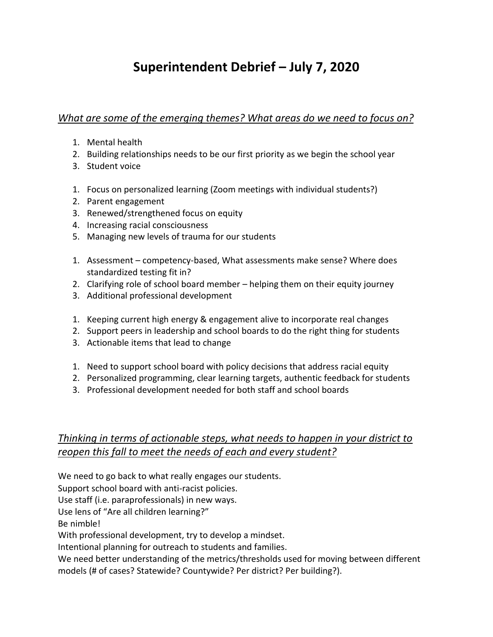## **Superintendent Debrief – July 7, 2020**

*What are some of the emerging themes? What areas do we need to focus on?*

- 1. Mental health
- 2. Building relationships needs to be our first priority as we begin the school year
- 3. Student voice
- 1. Focus on personalized learning (Zoom meetings with individual students?)
- 2. Parent engagement
- 3. Renewed/strengthened focus on equity
- 4. Increasing racial consciousness
- 5. Managing new levels of trauma for our students
- 1. Assessment competency-based, What assessments make sense? Where does standardized testing fit in?
- 2. Clarifying role of school board member helping them on their equity journey
- 3. Additional professional development
- 1. Keeping current high energy & engagement alive to incorporate real changes
- 2. Support peers in leadership and school boards to do the right thing for students
- 3. Actionable items that lead to change
- 1. Need to support school board with policy decisions that address racial equity
- 2. Personalized programming, clear learning targets, authentic feedback for students
- 3. Professional development needed for both staff and school boards

## *Thinking in terms of actionable steps, what needs to happen in your district to reopen this fall to meet the needs of each and every student?*

We need to go back to what really engages our students.

Support school board with anti-racist policies.

Use staff (i.e. paraprofessionals) in new ways.

Use lens of "Are all children learning?"

Be nimble!

With professional development, try to develop a mindset.

Intentional planning for outreach to students and families.

We need better understanding of the metrics/thresholds used for moving between different models (# of cases? Statewide? Countywide? Per district? Per building?).